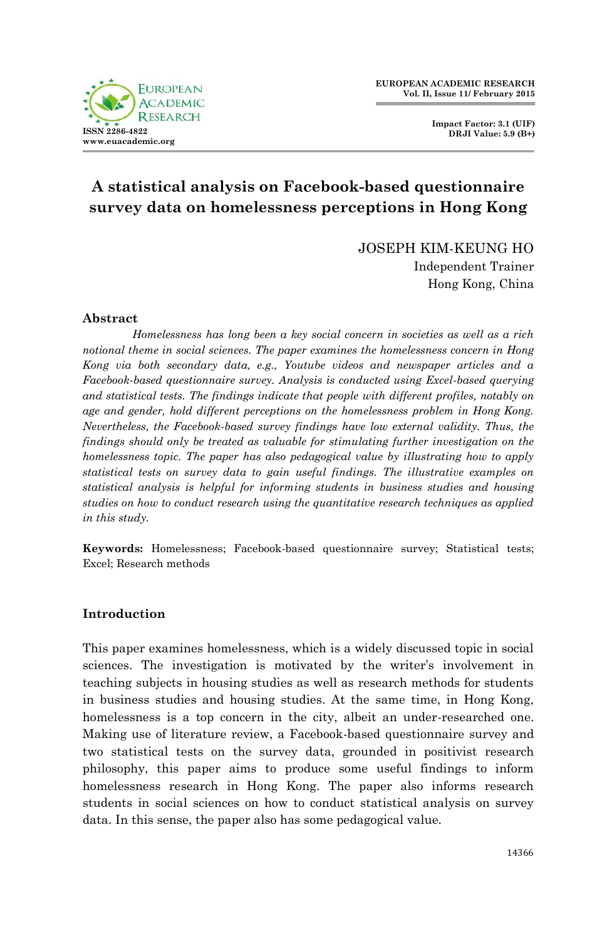

**Impact Factor: 3.1 (UIF) DRJI Value: 5.9 (B+)**

# **A statistical analysis on Facebook-based questionnaire survey data on homelessness perceptions in Hong Kong**

JOSEPH KIM-KEUNG HO

Independent Trainer Hong Kong, China

# **Abstract**

*Homelessness has long been a key social concern in societies as well as a rich notional theme in social sciences. The paper examines the homelessness concern in Hong Kong via both secondary data, e.g., Youtube videos and newspaper articles and a Facebook-based questionnaire survey. Analysis is conducted using Excel-based querying and statistical tests. The findings indicate that people with different profiles, notably on age and gender, hold different perceptions on the homelessness problem in Hong Kong. Nevertheless, the Facebook-based survey findings have low external validity. Thus, the findings should only be treated as valuable for stimulating further investigation on the homelessness topic. The paper has also pedagogical value by illustrating how to apply statistical tests on survey data to gain useful findings. The illustrative examples on statistical analysis is helpful for informing students in business studies and housing studies on how to conduct research using the quantitative research techniques as applied in this study.*

**Keywords:** Homelessness; Facebook-based questionnaire survey; Statistical tests; Excel; Research methods

# **Introduction**

This paper examines homelessness, which is a widely discussed topic in social sciences. The investigation is motivated by the writer's involvement in teaching subjects in housing studies as well as research methods for students in business studies and housing studies. At the same time, in Hong Kong, homelessness is a top concern in the city, albeit an under-researched one. Making use of literature review, a Facebook-based questionnaire survey and two statistical tests on the survey data, grounded in positivist research philosophy, this paper aims to produce some useful findings to inform homelessness research in Hong Kong. The paper also informs research students in social sciences on how to conduct statistical analysis on survey data. In this sense, the paper also has some pedagogical value.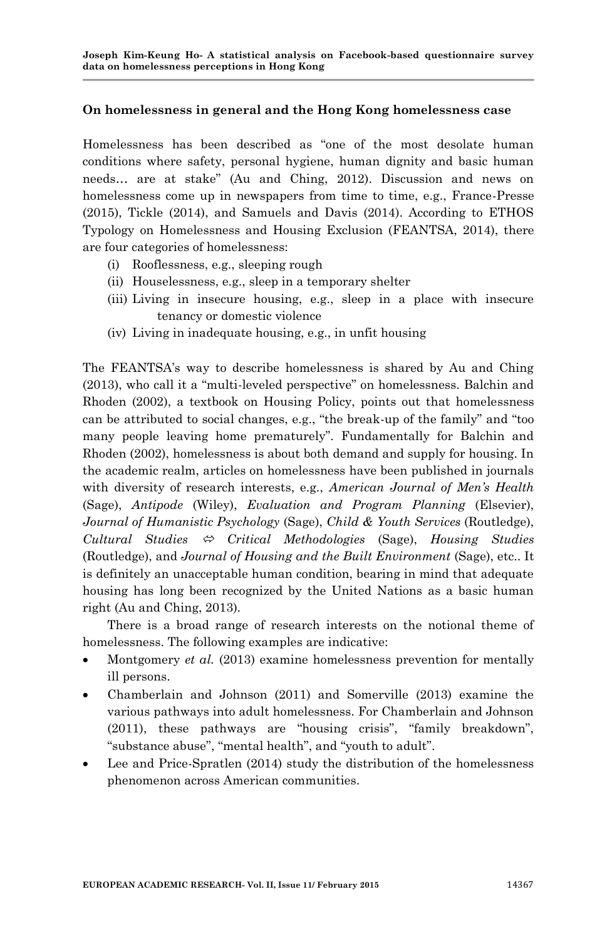# **On homelessness in general and the Hong Kong homelessness case**

Homelessness has been described as "one of the most desolate human conditions where safety, personal hygiene, human dignity and basic human needs… are at stake" (Au and Ching, 2012). Discussion and news on homelessness come up in newspapers from time to time, e.g., France-Presse (2015), Tickle (2014), and Samuels and Davis (2014). According to ETHOS Typology on Homelessness and Housing Exclusion (FEANTSA, 2014), there are four categories of homelessness:

- (i) Rooflessness, e.g., sleeping rough
- (ii) Houselessness, e.g., sleep in a temporary shelter
- (iii) Living in insecure housing, e.g., sleep in a place with insecure tenancy or domestic violence
- (iv) Living in inadequate housing, e.g., in unfit housing

The FEANTSA's way to describe homelessness is shared by Au and Ching (2013), who call it a "multi-leveled perspective" on homelessness. Balchin and Rhoden (2002), a textbook on Housing Policy, points out that homelessness can be attributed to social changes, e.g., "the break-up of the family" and "too many people leaving home prematurely". Fundamentally for Balchin and Rhoden (2002), homelessness is about both demand and supply for housing. In the academic realm, articles on homelessness have been published in journals with diversity of research interests, e.g., *American Journal of Men's Health* (Sage), *Antipode* (Wiley), *Evaluation and Program Planning* (Elsevier), *Journal of Humanistic Psychology* (Sage), *Child & Youth Services* (Routledge), *Cultural Studies Critical Methodologies* (Sage), *Housing Studies*  (Routledge), and *Journal of Housing and the Built Environment* (Sage), etc.. It is definitely an unacceptable human condition, bearing in mind that adequate housing has long been recognized by the United Nations as a basic human right (Au and Ching, 2013).

There is a broad range of research interests on the notional theme of homelessness. The following examples are indicative:

- Montgomery *et al.* (2013) examine homelessness prevention for mentally ill persons.
- Chamberlain and Johnson (2011) and Somerville (2013) examine the various pathways into adult homelessness. For Chamberlain and Johnson (2011), these pathways are "housing crisis", "family breakdown", "substance abuse", "mental health", and "youth to adult".
- Lee and Price-Spratlen (2014) study the distribution of the homelessness phenomenon across American communities.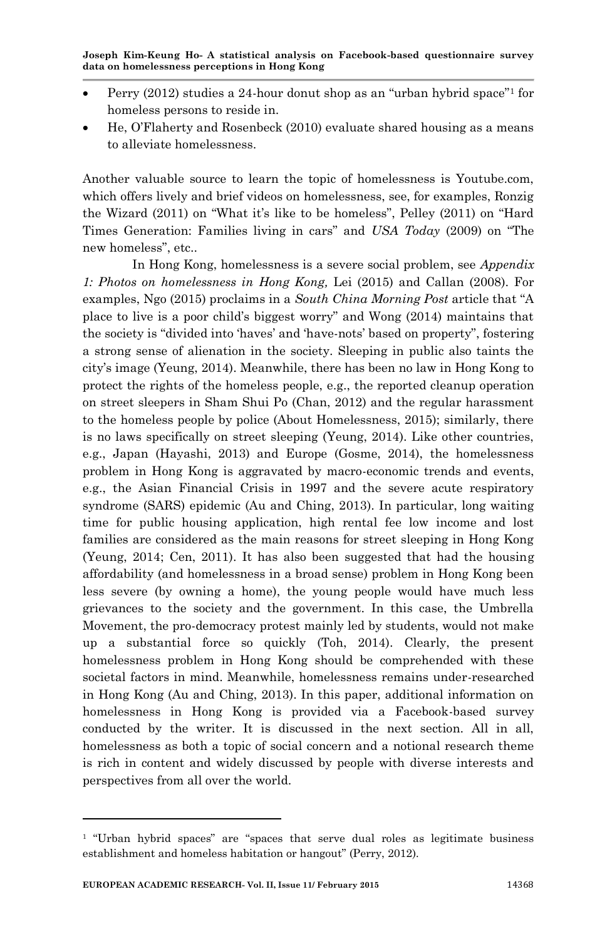- Perry (2012) studies a 24-hour donut shop as an "urban hybrid space"<sup>1</sup> for homeless persons to reside in.
- He, O"Flaherty and Rosenbeck (2010) evaluate shared housing as a means to alleviate homelessness.

Another valuable source to learn the topic of homelessness is Youtube.com, which offers lively and brief videos on homelessness, see, for examples, Ronzig the Wizard (2011) on "What it's like to be homeless", Pelley (2011) on "Hard Times Generation: Families living in cars" and *USA Today* (2009) on "The new homeless", etc..

In Hong Kong, homelessness is a severe social problem, see *Appendix 1: Photos on homelessness in Hong Kong,* Lei (2015) and Callan (2008). For examples, Ngo (2015) proclaims in a *South China Morning Post* article that "A place to live is a poor child"s biggest worry" and Wong (2014) maintains that the society is "divided into "haves" and "have-nots" based on property", fostering a strong sense of alienation in the society. Sleeping in public also taints the city"s image (Yeung, 2014). Meanwhile, there has been no law in Hong Kong to protect the rights of the homeless people, e.g., the reported cleanup operation on street sleepers in Sham Shui Po (Chan, 2012) and the regular harassment to the homeless people by police (About Homelessness, 2015); similarly, there is no laws specifically on street sleeping (Yeung, 2014). Like other countries, e.g., Japan (Hayashi, 2013) and Europe (Gosme, 2014), the homelessness problem in Hong Kong is aggravated by macro-economic trends and events, e.g., the Asian Financial Crisis in 1997 and the severe acute respiratory syndrome (SARS) epidemic (Au and Ching, 2013). In particular, long waiting time for public housing application, high rental fee low income and lost families are considered as the main reasons for street sleeping in Hong Kong (Yeung, 2014; Cen, 2011). It has also been suggested that had the housing affordability (and homelessness in a broad sense) problem in Hong Kong been less severe (by owning a home), the young people would have much less grievances to the society and the government. In this case, the Umbrella Movement, the pro-democracy protest mainly led by students, would not make up a substantial force so quickly (Toh, 2014). Clearly, the present homelessness problem in Hong Kong should be comprehended with these societal factors in mind. Meanwhile, homelessness remains under-researched in Hong Kong (Au and Ching, 2013). In this paper, additional information on homelessness in Hong Kong is provided via a Facebook-based survey conducted by the writer. It is discussed in the next section. All in all, homelessness as both a topic of social concern and a notional research theme is rich in content and widely discussed by people with diverse interests and perspectives from all over the world.

<sup>1</sup> "Urban hybrid spaces" are "spaces that serve dual roles as legitimate business establishment and homeless habitation or hangout" (Perry, 2012).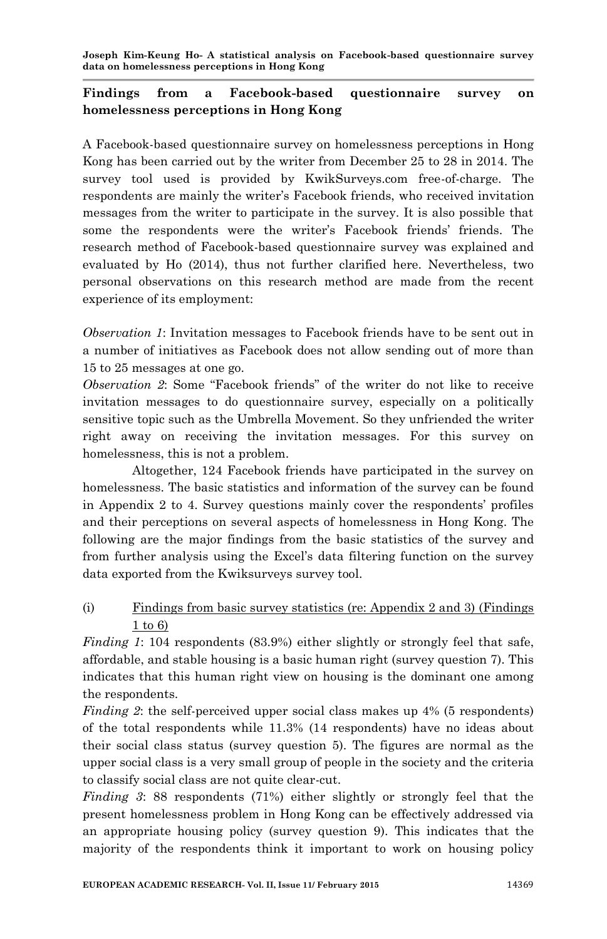# **Findings from a Facebook-based questionnaire survey on homelessness perceptions in Hong Kong**

A Facebook-based questionnaire survey on homelessness perceptions in Hong Kong has been carried out by the writer from December 25 to 28 in 2014. The survey tool used is provided by KwikSurveys.com free-of-charge. The respondents are mainly the writer"s Facebook friends, who received invitation messages from the writer to participate in the survey. It is also possible that some the respondents were the writer's Facebook friends' friends. The research method of Facebook-based questionnaire survey was explained and evaluated by Ho (2014), thus not further clarified here. Nevertheless, two personal observations on this research method are made from the recent experience of its employment:

*Observation 1*: Invitation messages to Facebook friends have to be sent out in a number of initiatives as Facebook does not allow sending out of more than 15 to 25 messages at one go.

*Observation 2*: Some "Facebook friends" of the writer do not like to receive invitation messages to do questionnaire survey, especially on a politically sensitive topic such as the Umbrella Movement. So they unfriended the writer right away on receiving the invitation messages. For this survey on homelessness, this is not a problem.

Altogether, 124 Facebook friends have participated in the survey on homelessness. The basic statistics and information of the survey can be found in Appendix 2 to 4. Survey questions mainly cover the respondents" profiles and their perceptions on several aspects of homelessness in Hong Kong. The following are the major findings from the basic statistics of the survey and from further analysis using the Excel"s data filtering function on the survey data exported from the Kwiksurveys survey tool.

# (i) Findings from basic survey statistics (re: Appendix 2 and 3) (Findings 1 to 6)

*Finding 1*: 104 respondents (83.9%) either slightly or strongly feel that safe, affordable, and stable housing is a basic human right (survey question 7). This indicates that this human right view on housing is the dominant one among the respondents.

*Finding 2*: the self-perceived upper social class makes up 4% (5 respondents) of the total respondents while 11.3% (14 respondents) have no ideas about their social class status (survey question 5). The figures are normal as the upper social class is a very small group of people in the society and the criteria to classify social class are not quite clear-cut.

*Finding 3*: 88 respondents (71%) either slightly or strongly feel that the present homelessness problem in Hong Kong can be effectively addressed via an appropriate housing policy (survey question 9). This indicates that the majority of the respondents think it important to work on housing policy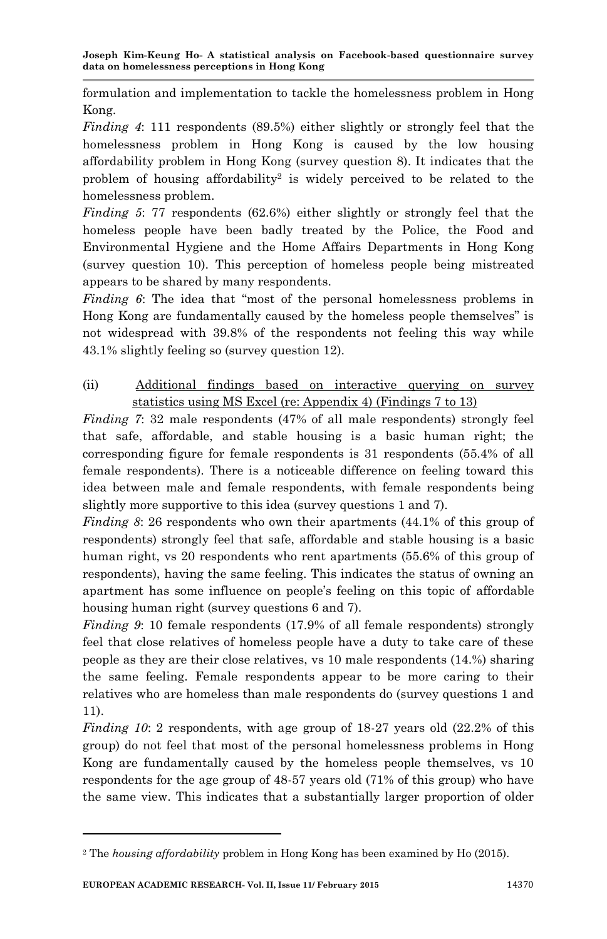formulation and implementation to tackle the homelessness problem in Hong Kong.

*Finding 4*: 111 respondents (89.5%) either slightly or strongly feel that the homelessness problem in Hong Kong is caused by the low housing affordability problem in Hong Kong (survey question 8). It indicates that the problem of housing affordability<sup>2</sup> is widely perceived to be related to the homelessness problem.

*Finding 5*: 77 respondents (62.6%) either slightly or strongly feel that the homeless people have been badly treated by the Police, the Food and Environmental Hygiene and the Home Affairs Departments in Hong Kong (survey question 10). This perception of homeless people being mistreated appears to be shared by many respondents.

*Finding 6*: The idea that "most of the personal homelessness problems in Hong Kong are fundamentally caused by the homeless people themselves" is not widespread with 39.8% of the respondents not feeling this way while 43.1% slightly feeling so (survey question 12).

# (ii) Additional findings based on interactive querying on survey statistics using MS Excel (re: Appendix 4) (Findings 7 to 13)

*Finding 7*: 32 male respondents (47% of all male respondents) strongly feel that safe, affordable, and stable housing is a basic human right; the corresponding figure for female respondents is 31 respondents (55.4% of all female respondents). There is a noticeable difference on feeling toward this idea between male and female respondents, with female respondents being slightly more supportive to this idea (survey questions 1 and 7).

*Finding 8*: 26 respondents who own their apartments  $(44.1\%$  of this group of respondents) strongly feel that safe, affordable and stable housing is a basic human right, vs 20 respondents who rent apartments (55.6% of this group of respondents), having the same feeling. This indicates the status of owning an apartment has some influence on people"s feeling on this topic of affordable housing human right (survey questions 6 and 7).

*Finding 9*: 10 female respondents (17.9% of all female respondents) strongly feel that close relatives of homeless people have a duty to take care of these people as they are their close relatives, vs 10 male respondents (14.%) sharing the same feeling. Female respondents appear to be more caring to their relatives who are homeless than male respondents do (survey questions 1 and 11).

*Finding 10*: 2 respondents, with age group of 18-27 years old  $(22.2\%$  of this group) do not feel that most of the personal homelessness problems in Hong Kong are fundamentally caused by the homeless people themselves, vs 10 respondents for the age group of 48-57 years old (71% of this group) who have the same view. This indicates that a substantially larger proportion of older

<sup>2</sup> The *housing affordability* problem in Hong Kong has been examined by Ho (2015).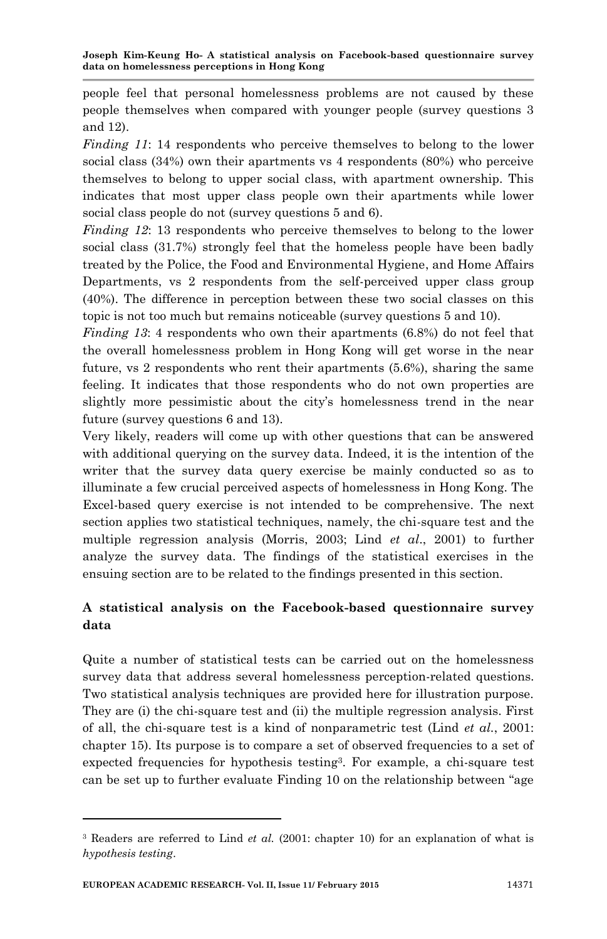people feel that personal homelessness problems are not caused by these people themselves when compared with younger people (survey questions 3 and 12).

*Finding 11*: 14 respondents who perceive themselves to belong to the lower social class (34%) own their apartments vs 4 respondents (80%) who perceive themselves to belong to upper social class, with apartment ownership. This indicates that most upper class people own their apartments while lower social class people do not (survey questions 5 and 6).

*Finding 12*: 13 respondents who perceive themselves to belong to the lower social class (31.7%) strongly feel that the homeless people have been badly treated by the Police, the Food and Environmental Hygiene, and Home Affairs Departments, vs 2 respondents from the self-perceived upper class group (40%). The difference in perception between these two social classes on this topic is not too much but remains noticeable (survey questions 5 and 10).

*Finding 13*: 4 respondents who own their apartments (6.8%) do not feel that the overall homelessness problem in Hong Kong will get worse in the near future, vs 2 respondents who rent their apartments (5.6%), sharing the same feeling. It indicates that those respondents who do not own properties are slightly more pessimistic about the city's homelessness trend in the near future (survey questions 6 and 13).

Very likely, readers will come up with other questions that can be answered with additional querying on the survey data. Indeed, it is the intention of the writer that the survey data query exercise be mainly conducted so as to illuminate a few crucial perceived aspects of homelessness in Hong Kong. The Excel-based query exercise is not intended to be comprehensive. The next section applies two statistical techniques, namely, the chi-square test and the multiple regression analysis (Morris, 2003; Lind *et al*., 2001) to further analyze the survey data. The findings of the statistical exercises in the ensuing section are to be related to the findings presented in this section.

# **A statistical analysis on the Facebook-based questionnaire survey data**

Quite a number of statistical tests can be carried out on the homelessness survey data that address several homelessness perception-related questions. Two statistical analysis techniques are provided here for illustration purpose. They are (i) the chi-square test and (ii) the multiple regression analysis. First of all, the chi-square test is a kind of nonparametric test (Lind *et al.*, 2001: chapter 15). Its purpose is to compare a set of observed frequencies to a set of expected frequencies for hypothesis testing<sup>3</sup> . For example, a chi-square test can be set up to further evaluate Finding 10 on the relationship between "age

<sup>3</sup> Readers are referred to Lind *et al.* (2001: chapter 10) for an explanation of what is *hypothesis testing*.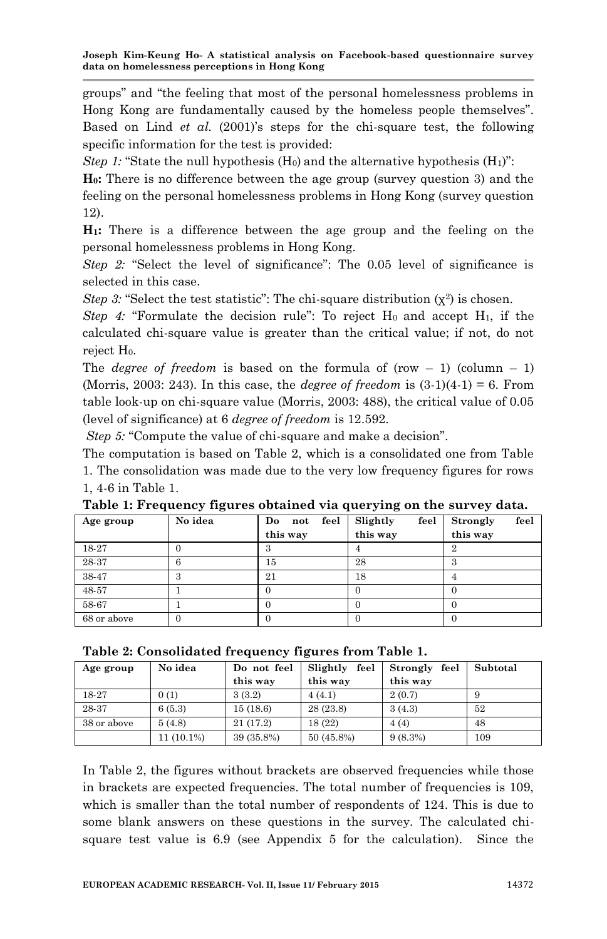groups" and "the feeling that most of the personal homelessness problems in Hong Kong are fundamentally caused by the homeless people themselves". Based on Lind *et al.* (2001)'s steps for the chi-square test, the following specific information for the test is provided:

*Step 1:* "State the null hypothesis  $(H_0)$  and the alternative hypothesis  $(H_1)$ ":

**H0:** There is no difference between the age group (survey question 3) and the feeling on the personal homelessness problems in Hong Kong (survey question 12).

**H1:** There is a difference between the age group and the feeling on the personal homelessness problems in Hong Kong.

*Step 2:* "Select the level of significance": The 0.05 level of significance is selected in this case.

*Step 3*: "Select the test statistic": The chi-square distribution  $(\chi^2)$  is chosen.

*Step 4:* "Formulate the decision rule": To reject  $H_0$  and accept  $H_1$ , if the calculated chi-square value is greater than the critical value; if not, do not reject  $H_0$ .

The *degree of freedom* is based on the formula of (row  $-1$ ) (column  $-1$ ) (Morris, 2003: 243). In this case, the *degree of freedom* is (3-1)(4-1) = 6. From table look-up on chi-square value (Morris, 2003: 488), the critical value of 0.05 (level of significance) at 6 *degree of freedom* is 12.592.

*Step 5:* "Compute the value of chi-square and make a decision".

The computation is based on Table 2, which is a consolidated one from Table 1. The consolidation was made due to the very low frequency figures for rows 1, 4-6 in Table 1.

| Age group   | No idea | feel<br>Do<br>not | Slightly<br>feel | feel<br>Strongly |
|-------------|---------|-------------------|------------------|------------------|
|             |         | this way          | this way         | this way         |
| 18-27       |         |                   |                  | $\overline{2}$   |
| 28-37       | 6       | 15                | 28               | З                |
| 38-47       | 3       | 21                | 18               |                  |
| 48-57       |         |                   |                  |                  |
| 58-67       |         |                   |                  |                  |
| 68 or above | 0       |                   |                  |                  |

**Table 1: Frequency figures obtained via querying on the survey data.**

| Age group   | No idea      | Do not feel | Slightly<br>feel | feel<br>Strongly | Subtotal |
|-------------|--------------|-------------|------------------|------------------|----------|
|             |              | this way    | this way         | this way         |          |
| 18-27       | 0(1)         | 3(3.2)      | 4(4.1)           | 2(0.7)           | 9        |
| 28-37       | 6(5.3)       | 15(18.6)    | 28(23.8)         | 3(4.3)           | 52       |
| 38 or above | 5(4.8)       | 21(17.2)    | 18 (22)          | 4(4)             | 48       |
|             | $11(10.1\%)$ | 39 (35.8%)  | 50 (45.8%)       | 9(8.3%)          | 109      |

In Table 2, the figures without brackets are observed frequencies while those in brackets are expected frequencies. The total number of frequencies is 109, which is smaller than the total number of respondents of 124. This is due to some blank answers on these questions in the survey. The calculated chisquare test value is 6.9 (see Appendix 5 for the calculation). Since the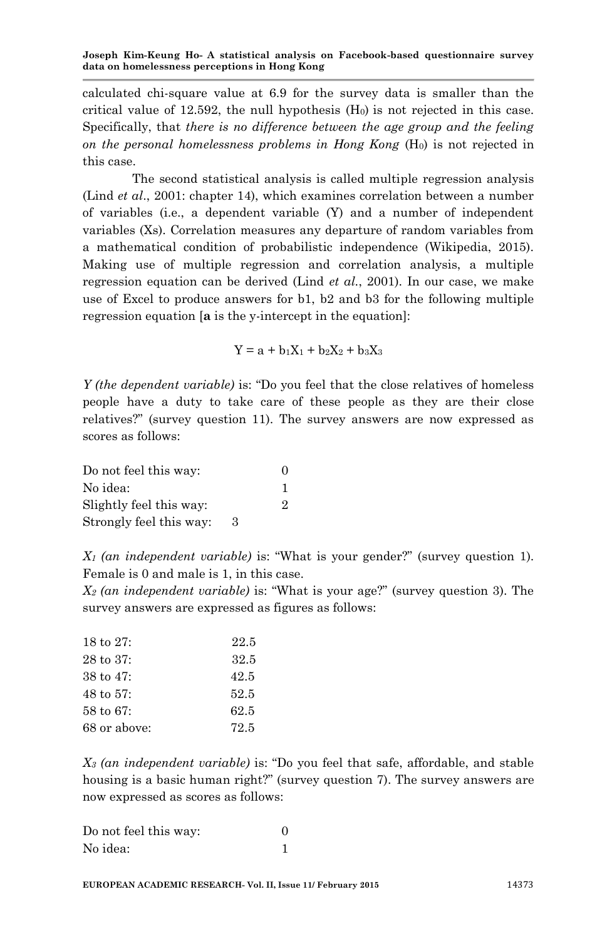calculated chi-square value at 6.9 for the survey data is smaller than the critical value of 12.592, the null hypothesis  $(H<sub>0</sub>)$  is not rejected in this case. Specifically, that *there is no difference between the age group and the feeling on the personal homelessness problems in Hong Kong* (H0) is not rejected in this case.

The second statistical analysis is called multiple regression analysis (Lind *et al*., 2001: chapter 14), which examines correlation between a number of variables (i.e., a dependent variable (Y) and a number of independent variables (Xs). Correlation measures any departure of random variables from a mathematical condition of probabilistic independence (Wikipedia, 2015). Making use of multiple regression and correlation analysis, a multiple regression equation can be derived (Lind *et al.*, 2001). In our case, we make use of Excel to produce answers for b1, b2 and b3 for the following multiple regression equation [**a** is the y-intercept in the equation]:

$$
Y=a+b_1X_1+b_2X_2+b_3X_3\\
$$

*Y (the dependent variable)* is: "Do you feel that the close relatives of homeless people have a duty to take care of these people as they are their close relatives?" (survey question 11). The survey answers are now expressed as scores as follows:

| Do not feel this way:   |   | 0 |
|-------------------------|---|---|
| No idea:                |   |   |
| Slightly feel this way: |   | 2 |
| Strongly feel this way: | З |   |

*X<sup>1</sup> (an independent variable)* is: "What is your gender?" (survey question 1). Female is 0 and male is 1, in this case.

*X<sup>2</sup> (an independent variable)* is: "What is your age?" (survey question 3). The survey answers are expressed as figures as follows:

| 18 to $27:$           | 22.5 |
|-----------------------|------|
| $28 \text{ to } 37$ : | 32.5 |
| 38 to $47:$           | 42.5 |
| $48 \text{ to } 57$ : | 52.5 |
| $58 \text{ to } 67$ : | 62.5 |
| 68 or above:          | 72.5 |

*X<sup>3</sup> (an independent variable)* is: "Do you feel that safe, affordable, and stable housing is a basic human right?" (survey question 7). The survey answers are now expressed as scores as follows:

| Do not feel this way: |  |
|-----------------------|--|
| No idea:              |  |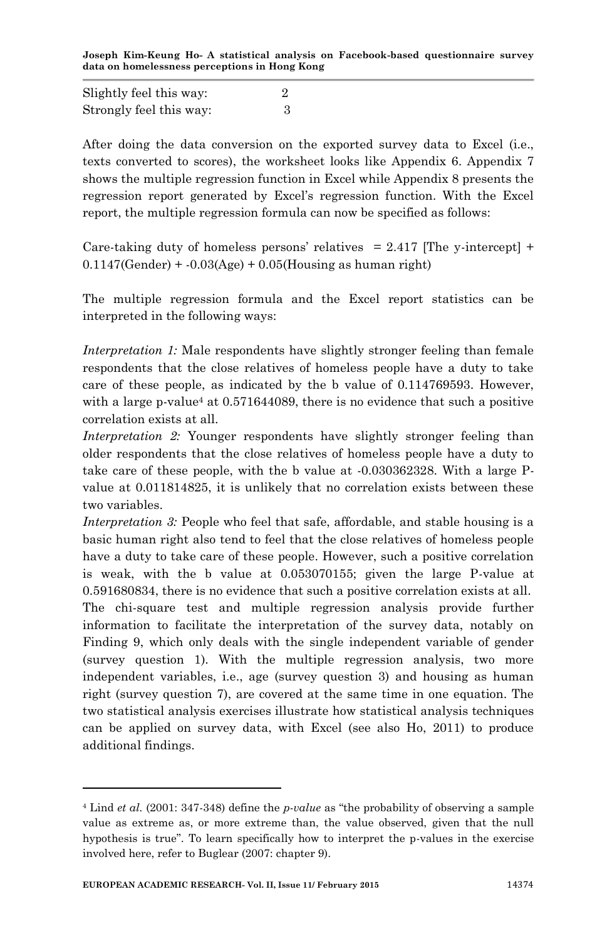Slightly feel this way: 2 Strongly feel this way: 3

After doing the data conversion on the exported survey data to Excel (i.e., texts converted to scores), the worksheet looks like Appendix 6. Appendix 7 shows the multiple regression function in Excel while Appendix 8 presents the regression report generated by Excel"s regression function. With the Excel report, the multiple regression formula can now be specified as follows:

Care-taking duty of homeless persons' relatives  $= 2.417$  [The y-intercept] +  $0.1147$ (Gender) +  $-0.03$ (Age) +  $0.05$ (Housing as human right)

The multiple regression formula and the Excel report statistics can be interpreted in the following ways:

*Interpretation 1:* Male respondents have slightly stronger feeling than female respondents that the close relatives of homeless people have a duty to take care of these people, as indicated by the b value of 0.114769593. However, with a large p-value<sup>4</sup> at  $0.571644089$ , there is no evidence that such a positive correlation exists at all.

*Interpretation 2:* Younger respondents have slightly stronger feeling than older respondents that the close relatives of homeless people have a duty to take care of these people, with the b value at -0.030362328. With a large Pvalue at 0.011814825, it is unlikely that no correlation exists between these two variables.

*Interpretation 3:* People who feel that safe, affordable, and stable housing is a basic human right also tend to feel that the close relatives of homeless people have a duty to take care of these people. However, such a positive correlation is weak, with the b value at 0.053070155; given the large P-value at 0.591680834, there is no evidence that such a positive correlation exists at all.

The chi-square test and multiple regression analysis provide further information to facilitate the interpretation of the survey data, notably on Finding 9, which only deals with the single independent variable of gender (survey question 1). With the multiple regression analysis, two more independent variables, i.e., age (survey question 3) and housing as human right (survey question 7), are covered at the same time in one equation. The two statistical analysis exercises illustrate how statistical analysis techniques can be applied on survey data, with Excel (see also Ho, 2011) to produce additional findings.

<sup>4</sup> Lind *et al.* (2001: 347-348) define the *p-value* as "the probability of observing a sample value as extreme as, or more extreme than, the value observed, given that the null hypothesis is true". To learn specifically how to interpret the p-values in the exercise involved here, refer to Buglear (2007: chapter 9).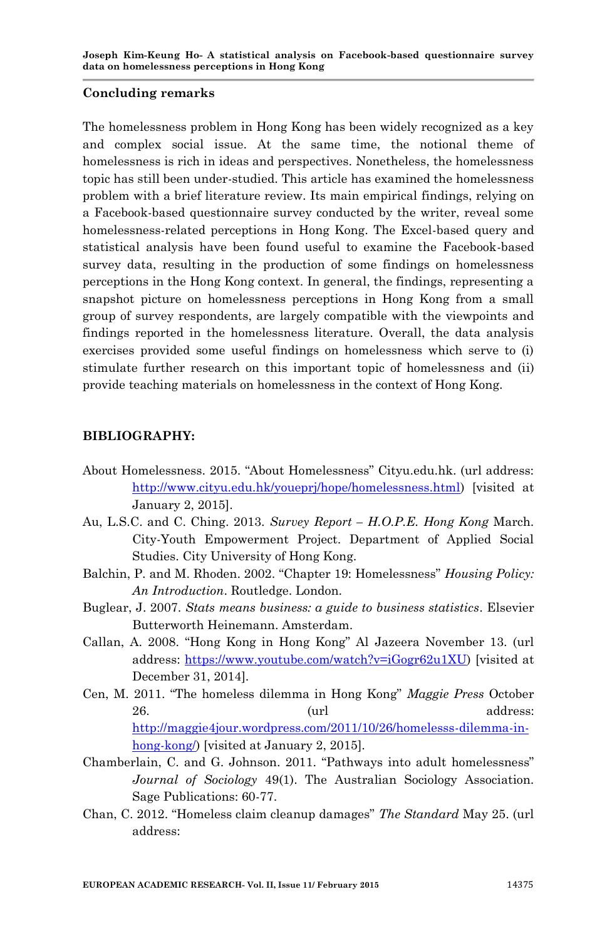#### **Concluding remarks**

The homelessness problem in Hong Kong has been widely recognized as a key and complex social issue. At the same time, the notional theme of homelessness is rich in ideas and perspectives. Nonetheless, the homelessness topic has still been under-studied. This article has examined the homelessness problem with a brief literature review. Its main empirical findings, relying on a Facebook-based questionnaire survey conducted by the writer, reveal some homelessness-related perceptions in Hong Kong. The Excel-based query and statistical analysis have been found useful to examine the Facebook-based survey data, resulting in the production of some findings on homelessness perceptions in the Hong Kong context. In general, the findings, representing a snapshot picture on homelessness perceptions in Hong Kong from a small group of survey respondents, are largely compatible with the viewpoints and findings reported in the homelessness literature. Overall, the data analysis exercises provided some useful findings on homelessness which serve to (i) stimulate further research on this important topic of homelessness and (ii) provide teaching materials on homelessness in the context of Hong Kong.

# **BIBLIOGRAPHY:**

- About Homelessness. 2015. "About Homelessness" Cityu.edu.hk. (url address: [http://www.cityu.edu.hk/youeprj/hope/homelessness.html\)](http://www.cityu.edu.hk/youeprj/hope/homelessness.html) [visited at January 2, 2015].
- Au, L.S.C. and C. Ching. 2013*. Survey Report – H.O.P.E. Hong Kong* March. City-Youth Empowerment Project. Department of Applied Social Studies. City University of Hong Kong.
- Balchin, P. and M. Rhoden. 2002. "Chapter 19: Homelessness" *Housing Policy: An Introduction*. Routledge. London.
- Buglear, J. 2007. *Stats means business: a guide to business statistics*. Elsevier Butterworth Heinemann. Amsterdam.
- Callan, A. 2008. "Hong Kong in Hong Kong" Al Jazeera November 13. (url address: [https://www.youtube.com/watch?v=iGogr62u1XU\)](https://www.youtube.com/watch?v=iGogr62u1XU) [visited at December 31, 2014].
- Cen, M. 2011. "The homeless dilemma in Hong Kong" *Maggie Press* October 26. (url address: [http://maggie4jour.wordpress.com/2011/10/26/homelesss-dilemma-in](http://maggie4jour.wordpress.com/2011/10/26/homelesss-dilemma-in-hong-kong/)[hong-kong/\)](http://maggie4jour.wordpress.com/2011/10/26/homelesss-dilemma-in-hong-kong/) [visited at January 2, 2015].
- Chamberlain, C. and G. Johnson. 2011. "Pathways into adult homelessness" *Journal of Sociology* 49(1). The Australian Sociology Association. Sage Publications: 60-77.
- Chan, C. 2012. "Homeless claim cleanup damages" *The Standard* May 25. (url address: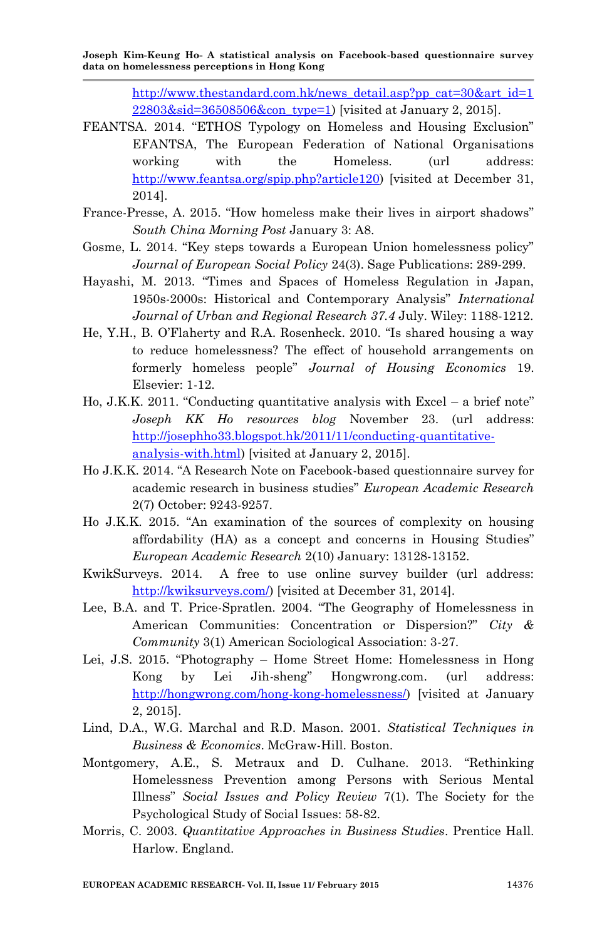> [http://www.thestandard.com.hk/news\\_detail.asp?pp\\_cat=30&art\\_id=1](http://www.thestandard.com.hk/news_detail.asp?pp_cat=30&art_id=122803&sid=36508506&con_type=1) [22803&sid=36508506&con\\_type=1\)](http://www.thestandard.com.hk/news_detail.asp?pp_cat=30&art_id=122803&sid=36508506&con_type=1) [visited at January 2, 2015].

- FEANTSA. 2014. "ETHOS Typology on Homeless and Housing Exclusion" EFANTSA, The European Federation of National Organisations working with the Homeless. (url address: [http://www.feantsa.org/spip.php?article120\)](http://www.feantsa.org/spip.php?article120) [visited at December 31, 2014].
- France-Presse, A. 2015. "How homeless make their lives in airport shadows" *South China Morning Post* January 3: A8.
- Gosme, L. 2014. "Key steps towards a European Union homelessness policy" *Journal of European Social Policy* 24(3). Sage Publications: 289-299.
- Hayashi, M. 2013. "Times and Spaces of Homeless Regulation in Japan, 1950s-2000s: Historical and Contemporary Analysis" *International Journal of Urban and Regional Research 37.4* July. Wiley: 1188-1212.
- He, Y.H., B. O"Flaherty and R.A. Rosenheck. 2010. "Is shared housing a way to reduce homelessness? The effect of household arrangements on formerly homeless people" *Journal of Housing Economics* 19. Elsevier: 1-12.
- Ho, J.K.K. 2011. "Conducting quantitative analysis with Excel a brief note" *Joseph KK Ho resources blog* November 23. (url address: [http://josephho33.blogspot.hk/2011/11/conducting-quantitative](http://josephho33.blogspot.hk/2011/11/conducting-quantitative-analysis-with.html)[analysis-with.html\)](http://josephho33.blogspot.hk/2011/11/conducting-quantitative-analysis-with.html) [visited at January 2, 2015].
- Ho J.K.K. 2014. "A Research Note on Facebook-based questionnaire survey for academic research in business studies" *European Academic Research* 2(7) October: 9243-9257.
- Ho J.K.K. 2015. "An examination of the sources of complexity on housing affordability (HA) as a concept and concerns in Housing Studies" *European Academic Research* 2(10) January: 13128-13152.
- KwikSurveys. 2014. A free to use online survey builder (url address: [http://kwiksurveys.com/\)](http://kwiksurveys.com/) [visited at December 31, 2014].
- Lee, B.A. and T. Price-Spratlen. 2004. "The Geography of Homelessness in American Communities: Concentration or Dispersion?" *City & Community* 3(1) American Sociological Association: 3-27.
- Lei, J.S. 2015. "Photography Home Street Home: Homelessness in Hong Kong by Lei Jih-sheng" Hongwrong.com. (url address: [http://hongwrong.com/hong-kong-homelessness/\)](http://hongwrong.com/hong-kong-homelessness/) [visited at January 2, 2015].
- Lind, D.A., W.G. Marchal and R.D. Mason. 2001. *Statistical Techniques in Business & Economics*. McGraw-Hill. Boston.
- Montgomery, A.E., S. Metraux and D. Culhane. 2013. "Rethinking Homelessness Prevention among Persons with Serious Mental Illness" *Social Issues and Policy Review* 7(1). The Society for the Psychological Study of Social Issues: 58-82.
- Morris, C. 2003. *Quantitative Approaches in Business Studies*. Prentice Hall. Harlow. England.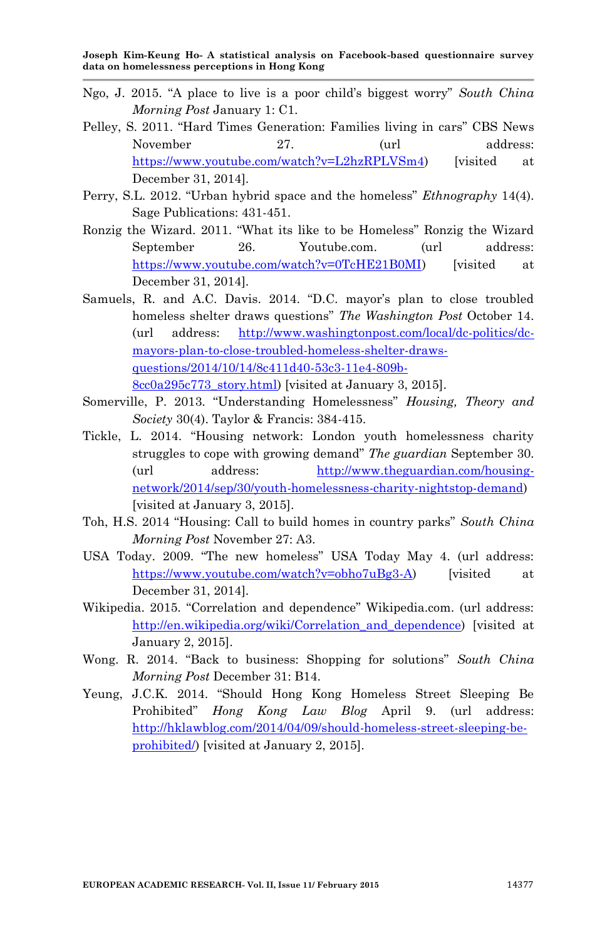- Ngo, J. 2015. "A place to live is a poor child"s biggest worry" *South China Morning Post* January 1: C1.
- Pelley, S. 2011. "Hard Times Generation: Families living in cars" CBS News November 27. (url address: [https://www.youtube.com/watch?v=L2hzRPLVSm4\)](https://www.youtube.com/watch?v=L2hzRPLVSm4) [visited at December 31, 2014].
- Perry, S.L. 2012. "Urban hybrid space and the homeless" *Ethnography* 14(4). Sage Publications: 431-451.
- Ronzig the Wizard. 2011. "What its like to be Homeless" Ronzig the Wizard September 26. Youtube.com. (url address: [https://www.youtube.com/watch?v=0TcHE21B0MI\)](https://www.youtube.com/watch?v=0TcHE21B0MI) [visited at December 31, 2014].
- Samuels, R. and A.C. Davis. 2014. "D.C. mayor's plan to close troubled homeless shelter draws questions" *The Washington Post* October 14. (url address: [http://www.washingtonpost.com/local/dc-politics/dc](http://www.washingtonpost.com/local/dc-politics/dc-mayors-plan-to-close-troubled-homeless-shelter-draws-questions/2014/10/14/8c411d40-53c3-11e4-809b-8cc0a295c773_story.html)[mayors-plan-to-close-troubled-homeless-shelter-draws](http://www.washingtonpost.com/local/dc-politics/dc-mayors-plan-to-close-troubled-homeless-shelter-draws-questions/2014/10/14/8c411d40-53c3-11e4-809b-8cc0a295c773_story.html)[questions/2014/10/14/8c411d40-53c3-11e4-809b-](http://www.washingtonpost.com/local/dc-politics/dc-mayors-plan-to-close-troubled-homeless-shelter-draws-questions/2014/10/14/8c411d40-53c3-11e4-809b-8cc0a295c773_story.html)[8cc0a295c773\\_story.html\)](http://www.washingtonpost.com/local/dc-politics/dc-mayors-plan-to-close-troubled-homeless-shelter-draws-questions/2014/10/14/8c411d40-53c3-11e4-809b-8cc0a295c773_story.html) [visited at January 3, 2015].
- Somerville, P. 2013. "Understanding Homelessness" *Housing, Theory and Society* 30(4). Taylor & Francis: 384-415.
- Tickle, L. 2014. "Housing network: London youth homelessness charity struggles to cope with growing demand" *The guardian* September 30. (url address: [http://www.theguardian.com/housing](http://www.theguardian.com/housing-network/2014/sep/30/youth-homelessness-charity-nightstop-demand)[network/2014/sep/30/youth-homelessness-charity-nightstop-demand\)](http://www.theguardian.com/housing-network/2014/sep/30/youth-homelessness-charity-nightstop-demand) [visited at January 3, 2015].
- Toh, H.S. 2014 "Housing: Call to build homes in country parks" *South China Morning Post* November 27: A3.
- USA Today. 2009. "The new homeless" USA Today May 4. (url address: [https://www.youtube.com/watch?v=obho7uBg3-A\)](https://www.youtube.com/watch?v=obho7uBg3-A) [visited at December 31, 2014].
- Wikipedia. 2015. "Correlation and dependence" Wikipedia.com. (url address: http://en.wikipedia.org/wiki/Correlation and dependence) [visited at January 2, 2015].
- Wong. R. 2014. "Back to business: Shopping for solutions" *South China Morning Post* December 31: B14.
- Yeung, J.C.K. 2014. "Should Hong Kong Homeless Street Sleeping Be Prohibited" *Hong Kong Law Blog* April 9. (url address: [http://hklawblog.com/2014/04/09/should-homeless-street-sleeping-be](http://hklawblog.com/2014/04/09/should-homeless-street-sleeping-be-prohibited/)[prohibited/\)](http://hklawblog.com/2014/04/09/should-homeless-street-sleeping-be-prohibited/) [visited at January 2, 2015].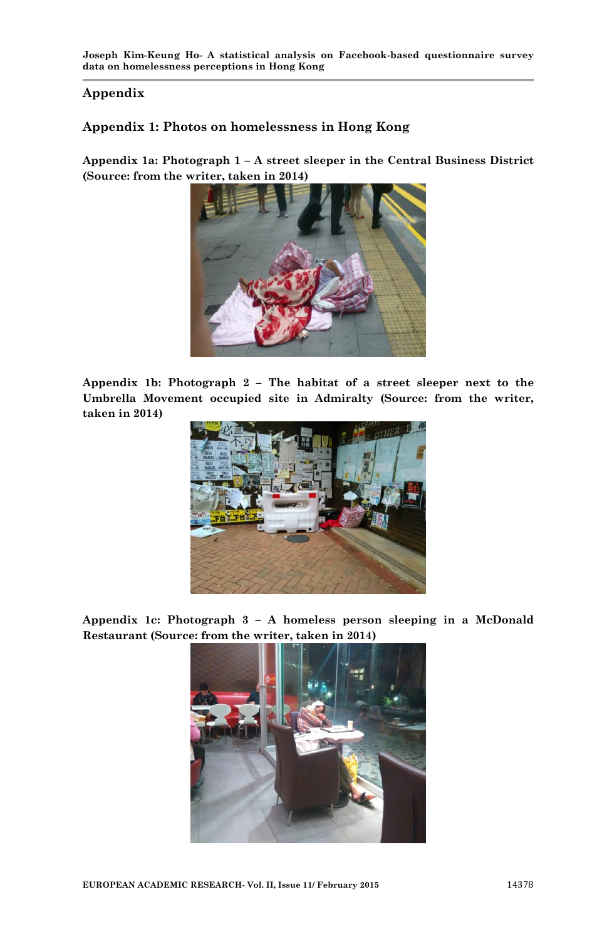#### **Appendix**

# **Appendix 1: Photos on homelessness in Hong Kong**

**Appendix 1a: Photograph 1 – A street sleeper in the Central Business District (Source: from the writer, taken in 2014)**



**Appendix 1b: Photograph 2 – The habitat of a street sleeper next to the Umbrella Movement occupied site in Admiralty (Source: from the writer, taken in 2014)**



**Appendix 1c: Photograph 3 – A homeless person sleeping in a McDonald Restaurant (Source: from the writer, taken in 2014)**

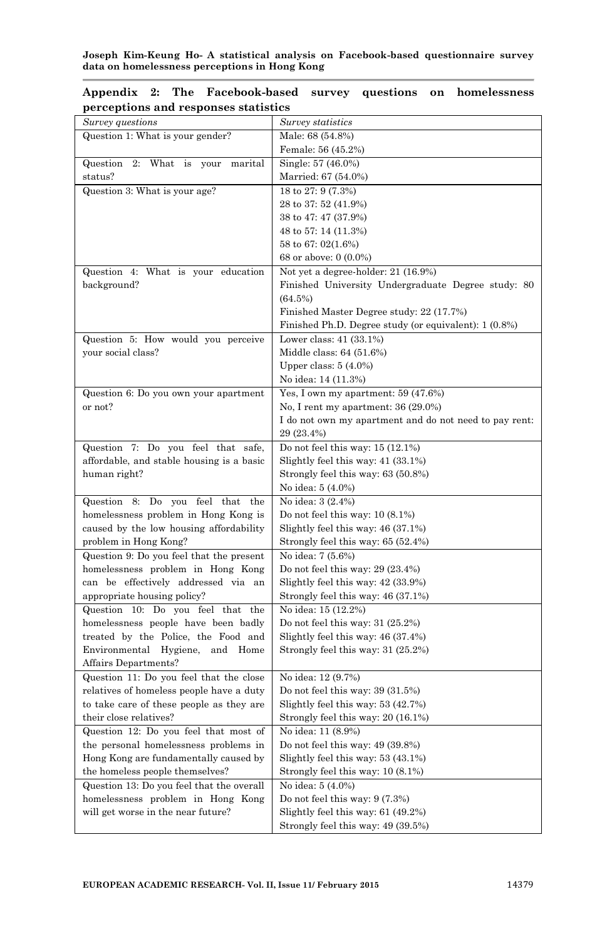| Survey questions                                   | Survey statistics                                      |
|----------------------------------------------------|--------------------------------------------------------|
| Question 1: What is your gender?                   | Male: 68 (54.8%)                                       |
|                                                    | Female: 56 (45.2%)                                     |
| Question 2:<br>What is your marital                | Single: 57 (46.0%)                                     |
| status?                                            | Married: 67 (54.0%)                                    |
| Question 3: What is your age?                      | 18 to 27: 9 (7.3%)                                     |
|                                                    | 28 to 37: 52 (41.9%)                                   |
|                                                    | 38 to 47: 47 (37.9%)                                   |
|                                                    | 48 to 57: 14 (11.3%)                                   |
|                                                    | 58 to 67: 02(1.6%)                                     |
|                                                    | 68 or above: 0 (0.0%)                                  |
| Question 4:<br>What is your education              | Not yet a degree-holder: 21 (16.9%)                    |
| background?                                        | Finished University Undergraduate Degree study: 80     |
|                                                    | (64.5%)                                                |
|                                                    | Finished Master Degree study: 22 (17.7%)               |
|                                                    | Finished Ph.D. Degree study (or equivalent): 1 (0.8%)  |
| Question 5: How would you perceive                 | Lower class: $41$ $(33.1\%)$                           |
| your social class?                                 | Middle class: 64 (51.6%)                               |
|                                                    | Upper class: $5(4.0\%)$                                |
|                                                    | No idea: 14 (11.3%)                                    |
| Question 6: Do you own your apartment              | Yes, I own my apartment: 59 (47.6%)                    |
| or not?                                            | No, I rent my apartment: $36(29.0\%)$                  |
|                                                    | I do not own my apartment and do not need to pay rent: |
|                                                    | 29 (23.4%)                                             |
| Question<br>7: Do you feel that safe,              | Do not feel this way: $15(12.1\%)$                     |
| affordable, and stable housing is a basic          | Slightly feel this way: 41 (33.1%)                     |
| human right?                                       | Strongly feel this way: 63 (50.8%)                     |
|                                                    | No idea: 5 (4.0%)                                      |
| feel<br>that<br>Question<br>8:<br>Do<br>you<br>the | No idea: 3 (2.4%)                                      |
| homelessness problem in Hong Kong is               | Do not feel this way: $10(8.1\%)$                      |
| caused by the low housing affordability            | Slightly feel this way: $46(37.1%)$                    |
| problem in Hong Kong?                              | Strongly feel this way: $65(52.4%)$                    |
| Question 9: Do you feel that the present           | No idea: 7 (5.6%)                                      |
| homelessness problem in Hong Kong                  | Do not feel this way: $29(23.4%)$                      |
| can be effectively addressed via an                | Slightly feel this way: 42 (33.9%)                     |
| appropriate housing policy?                        | Strongly feel this way: 46 (37.1%)                     |
| Question 10: Do you feel that the                  | No idea: 15 (12.2%)                                    |
| homelessness people have been badly                | Do not feel this way: $31(25.2%)$                      |
| treated by the Police, the Food and                | Slightly feel this way: 46 (37.4%)                     |
| Environmental Hygiene,<br>and Home                 | Strongly feel this way: 31 (25.2%)                     |
| Affairs Departments?                               |                                                        |
| Question 11: Do you feel that the close            | No idea: 12 (9.7%)                                     |
| relatives of homeless people have a duty           | Do not feel this way: $39(31.5%)$                      |
| to take care of these people as they are           | Slightly feel this way: $53(42.7%)$                    |
| their close relatives?                             | Strongly feel this way: 20 (16.1%)                     |
| Question 12: Do you feel that most of              | No idea: 11 (8.9%)                                     |
| the personal homelessness problems in              | Do not feel this way: 49 (39.8%)                       |
| Hong Kong are fundamentally caused by              | Slightly feel this way: $53(43.1\%)$                   |
| the homeless people themselves?                    | Strongly feel this way: 10 (8.1%)                      |
| Question 13: Do you feel that the overall          | No idea: 5 (4.0%)                                      |
| homelessness problem in Hong Kong                  | Do not feel this way: $9(7.3\%)$                       |
| will get worse in the near future?                 | Slightly feel this way: $61$ (49.2%)                   |
|                                                    | Strongly feel this way: 49 (39.5%)                     |

|  | Appendix 2: The Facebook-based survey questions on homelessness |  |  |
|--|-----------------------------------------------------------------|--|--|
|  | perceptions and responses statistics                            |  |  |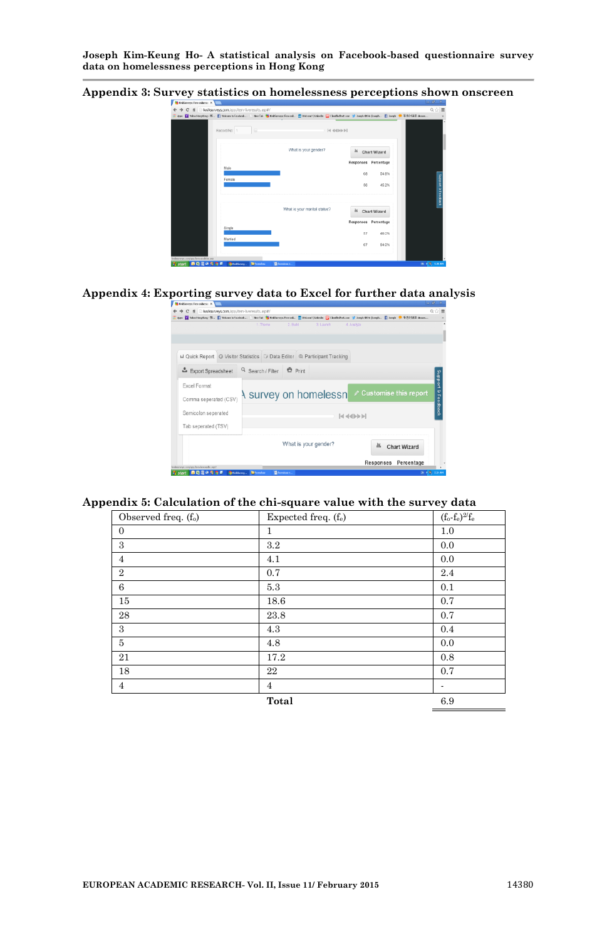**Appendix 3: Survey statistics on homelessness perceptions shown onscreen**



#### **Appendix 4: Exporting survey data to Excel for further data analysis**

| $-10$<br><b>Dy KeikSurreys: Free online sur X</b>                                                                                                                                    |
|--------------------------------------------------------------------------------------------------------------------------------------------------------------------------------------|
| C fi likelisurvers.com/acc//tem-liveresults.asp#/<br>0位                                                                                                                              |
| 11 Apps ■ MontbryRong-R., ■ Webcore to Textbook   New Tab   DistCurrence Treesed ■ Webcore   United Dist   Classified Costs Complete United District Complete ■ Joseph ● 音楽計算器 cheme |
| 1. Theme<br>$2.8$ uld<br>3. Laurch<br>4. Analize                                                                                                                                     |
| Il Quick Report   Q Visitor Statistics   Data Editor   @ Participant Tracking                                                                                                        |
| Q Search / Filter <b>C</b> Print<br>Export Spreadsheet                                                                                                                               |
| Excel Format                                                                                                                                                                         |
| Support & Feedback<br>Customise this report<br>A survey on homelessn<br>Comma seperated (CSV)                                                                                        |
| Semicolon seperated<br>$ 444\rangle$                                                                                                                                                 |
|                                                                                                                                                                                      |
| Tab seperated (TSV)                                                                                                                                                                  |
| What is your gender?<br>as.<br><b>Chart Wizard</b>                                                                                                                                   |
| Percentage<br>Responses                                                                                                                                                              |
| kisiku menu contings from becomely, and<br>BI 4.9, 526 AM<br><b>De Francisco</b><br><b><i><u>Brondess</u></i></b><br><b>A</b> start<br><b>GillinkSures</b><br>最初日のりちま                |

#### **Appendix 5: Calculation of the chi-square value with the survey data**

| Observed freq. (f <sub>o</sub> ) | Expected freq. (fe) | $(f_o-f_e)^{2/f_e}$      |
|----------------------------------|---------------------|--------------------------|
| $\mathbf{0}$                     | 1                   | 1.0                      |
| 3                                | $3.2\,$             | 0.0                      |
| $\overline{4}$                   | 4.1                 | 0.0                      |
| $\overline{2}$                   | 0.7                 | 2.4                      |
| 6                                | 5.3                 | 0.1                      |
| 15                               | 18.6                | 0.7                      |
| 28                               | 23.8                | 0.7                      |
| 3                                | 4.3                 | 0.4                      |
| 5                                | 4.8                 | 0.0                      |
| 21                               | 17.2                | 0.8                      |
| 18                               | 22                  | 0.7                      |
| $\overline{4}$                   | $\overline{4}$      | $\overline{\phantom{a}}$ |
|                                  | Total               | 6.9                      |